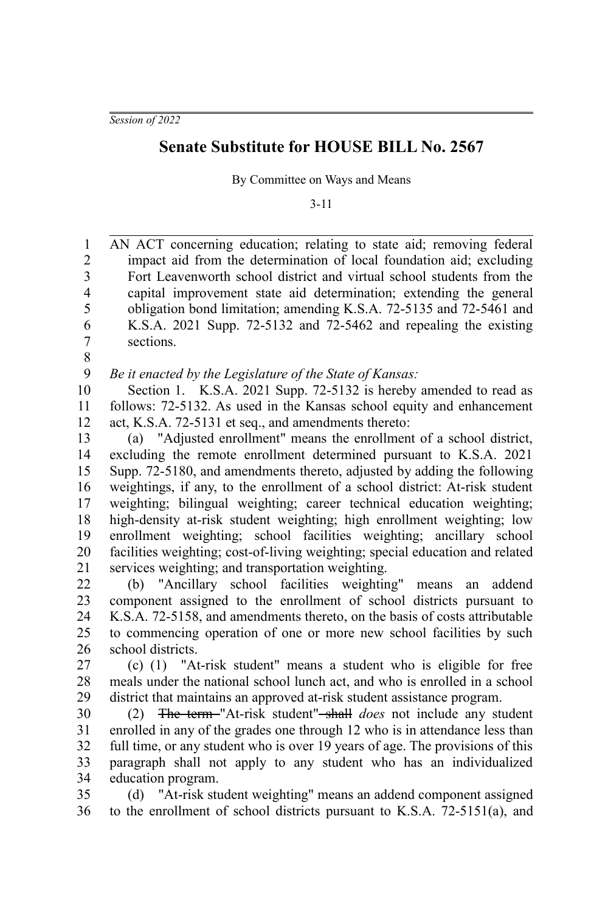*Session of 2022*

## **Senate Substitute for HOUSE BILL No. 2567**

By Committee on Ways and Means

3-11

AN ACT concerning education; relating to state aid; removing federal impact aid from the determination of local foundation aid; excluding Fort Leavenworth school district and virtual school students from the capital improvement state aid determination; extending the general obligation bond limitation; amending K.S.A. 72-5135 and 72-5461 and K.S.A. 2021 Supp. 72-5132 and 72-5462 and repealing the existing sections. 1 2 3 4 5 6 7

8

*Be it enacted by the Legislature of the State of Kansas:* 9

Section 1. K.S.A. 2021 Supp. 72-5132 is hereby amended to read as follows: 72-5132. As used in the Kansas school equity and enhancement act, K.S.A. 72-5131 et seq., and amendments thereto: 10 11 12

(a) "Adjusted enrollment" means the enrollment of a school district, excluding the remote enrollment determined pursuant to K.S.A. 2021 Supp. 72-5180, and amendments thereto, adjusted by adding the following weightings, if any, to the enrollment of a school district: At-risk student weighting; bilingual weighting; career technical education weighting; high-density at-risk student weighting; high enrollment weighting; low enrollment weighting; school facilities weighting; ancillary school facilities weighting; cost-of-living weighting; special education and related services weighting; and transportation weighting. 13 14 15 16 17 18 19 20 21

(b) "Ancillary school facilities weighting" means an addend component assigned to the enrollment of school districts pursuant to K.S.A. 72-5158, and amendments thereto, on the basis of costs attributable to commencing operation of one or more new school facilities by such school districts. 22 23 24 25 26

(c) (1) "At-risk student" means a student who is eligible for free meals under the national school lunch act, and who is enrolled in a school district that maintains an approved at-risk student assistance program. 27 28 29

(2) The term "At-risk student" shall *does* not include any student enrolled in any of the grades one through 12 who is in attendance less than full time, or any student who is over 19 years of age. The provisions of this paragraph shall not apply to any student who has an individualized education program. 30 31 32 33 34

(d) "At-risk student weighting" means an addend component assigned to the enrollment of school districts pursuant to K.S.A. 72-5151(a), and 35 36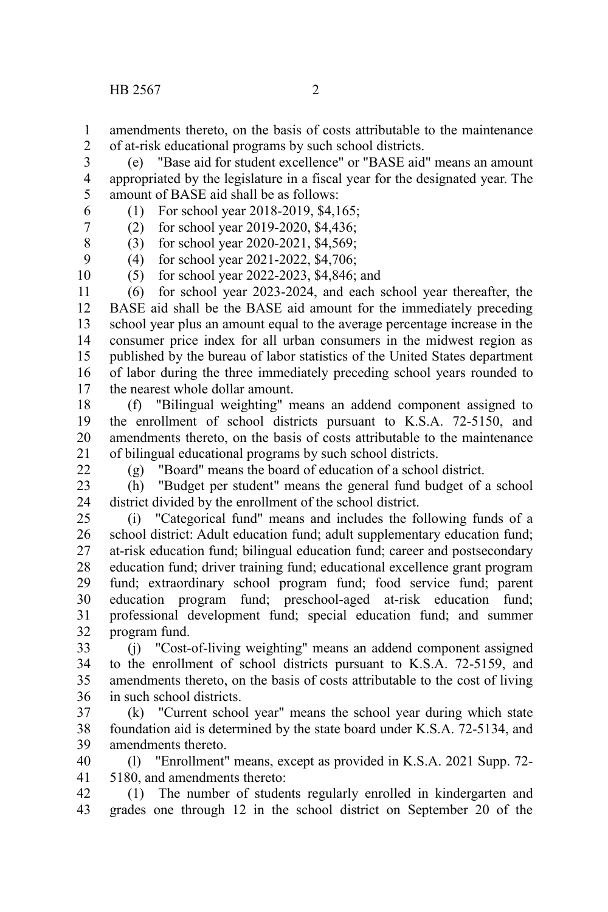amendments thereto, on the basis of costs attributable to the maintenance of at-risk educational programs by such school districts. 1 2

(e) "Base aid for student excellence" or "BASE aid" means an amount appropriated by the legislature in a fiscal year for the designated year. The amount of BASE aid shall be as follows: 3 4 5

(1) For school year 2018-2019, \$4,165;

(2) for school year 2019-2020, \$4,436;

(3) for school year 2020-2021, \$4,569; 9

(4) for school year 2021-2022, \$4,706;

(5) for school year 2022-2023, \$4,846; and 10

(6) for school year 2023-2024, and each school year thereafter, the BASE aid shall be the BASE aid amount for the immediately preceding school year plus an amount equal to the average percentage increase in the consumer price index for all urban consumers in the midwest region as published by the bureau of labor statistics of the United States department of labor during the three immediately preceding school years rounded to the nearest whole dollar amount. 11 12 13 14 15 16 17

(f) "Bilingual weighting" means an addend component assigned to the enrollment of school districts pursuant to K.S.A. 72-5150, and amendments thereto, on the basis of costs attributable to the maintenance of bilingual educational programs by such school districts. 18 19 20 21

 $22$ 

6 7 8

(g) "Board" means the board of education of a school district.

(h) "Budget per student" means the general fund budget of a school district divided by the enrollment of the school district. 23 24

(i) "Categorical fund" means and includes the following funds of a school district: Adult education fund; adult supplementary education fund; at-risk education fund; bilingual education fund; career and postsecondary education fund; driver training fund; educational excellence grant program fund; extraordinary school program fund; food service fund; parent education program fund; preschool-aged at-risk education fund; professional development fund; special education fund; and summer program fund. 25 26 27 28 29 30 31 32

(j) "Cost-of-living weighting" means an addend component assigned to the enrollment of school districts pursuant to K.S.A. 72-5159, and amendments thereto, on the basis of costs attributable to the cost of living in such school districts. 33 34 35 36

(k) "Current school year" means the school year during which state foundation aid is determined by the state board under K.S.A. 72-5134, and amendments thereto. 37 38 39

(l) "Enrollment" means, except as provided in K.S.A. 2021 Supp. 72- 5180, and amendments thereto: 40 41

(1) The number of students regularly enrolled in kindergarten and grades one through 12 in the school district on September 20 of the 42 43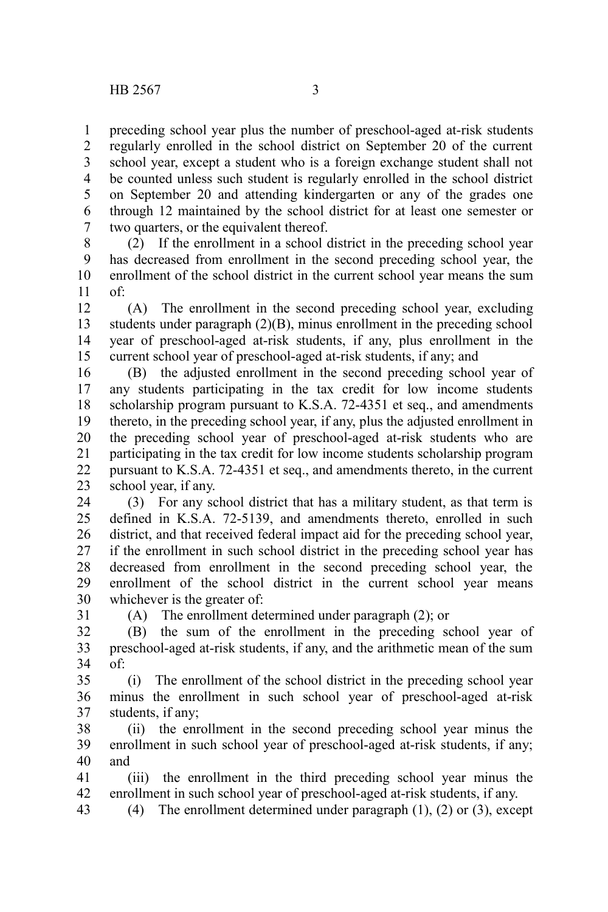preceding school year plus the number of preschool-aged at-risk students regularly enrolled in the school district on September 20 of the current school year, except a student who is a foreign exchange student shall not be counted unless such student is regularly enrolled in the school district on September 20 and attending kindergarten or any of the grades one through 12 maintained by the school district for at least one semester or two quarters, or the equivalent thereof. 1 2 3 4 5 6 7

(2) If the enrollment in a school district in the preceding school year has decreased from enrollment in the second preceding school year, the enrollment of the school district in the current school year means the sum of: 8 9 10 11

(A) The enrollment in the second preceding school year, excluding students under paragraph (2)(B), minus enrollment in the preceding school year of preschool-aged at-risk students, if any, plus enrollment in the current school year of preschool-aged at-risk students, if any; and 12 13 14 15

(B) the adjusted enrollment in the second preceding school year of any students participating in the tax credit for low income students scholarship program pursuant to K.S.A. 72-4351 et seq., and amendments thereto, in the preceding school year, if any, plus the adjusted enrollment in the preceding school year of preschool-aged at-risk students who are participating in the tax credit for low income students scholarship program pursuant to K.S.A. 72-4351 et seq., and amendments thereto, in the current school year, if any. 16 17 18 19 20 21 22 23

(3) For any school district that has a military student, as that term is defined in K.S.A. 72-5139, and amendments thereto, enrolled in such district, and that received federal impact aid for the preceding school year, if the enrollment in such school district in the preceding school year has decreased from enrollment in the second preceding school year, the enrollment of the school district in the current school year means whichever is the greater of: 24 25 26 27 28 29 30

31

(A) The enrollment determined under paragraph (2); or

(B) the sum of the enrollment in the preceding school year of preschool-aged at-risk students, if any, and the arithmetic mean of the sum of: 32 33 34

(i) The enrollment of the school district in the preceding school year minus the enrollment in such school year of preschool-aged at-risk students, if any; 35 36 37

(ii) the enrollment in the second preceding school year minus the enrollment in such school year of preschool-aged at-risk students, if any; and 38 39 40

(iii) the enrollment in the third preceding school year minus the enrollment in such school year of preschool-aged at-risk students, if any. 41 42

(4) The enrollment determined under paragraph (1), (2) or (3), except 43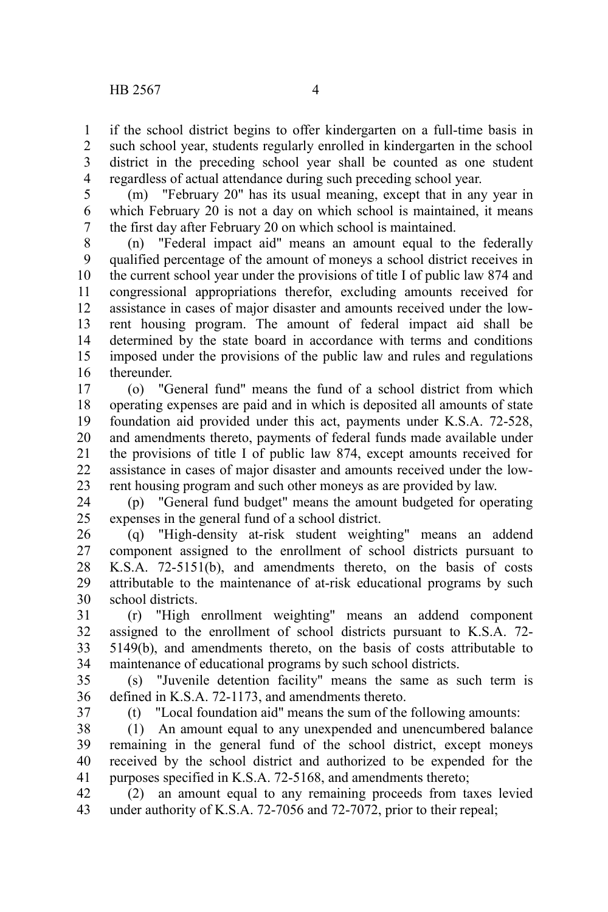if the school district begins to offer kindergarten on a full-time basis in such school year, students regularly enrolled in kindergarten in the school district in the preceding school year shall be counted as one student regardless of actual attendance during such preceding school year. 1 2 3 4

(m) "February 20" has its usual meaning, except that in any year in which February 20 is not a day on which school is maintained, it means the first day after February 20 on which school is maintained. 5 6 7

(n) "Federal impact aid" means an amount equal to the federally qualified percentage of the amount of moneys a school district receives in the current school year under the provisions of title I of public law 874 and congressional appropriations therefor, excluding amounts received for assistance in cases of major disaster and amounts received under the lowrent housing program. The amount of federal impact aid shall be determined by the state board in accordance with terms and conditions imposed under the provisions of the public law and rules and regulations thereunder. 8 9 10 11 12 13 14 15 16

(o) "General fund" means the fund of a school district from which operating expenses are paid and in which is deposited all amounts of state foundation aid provided under this act, payments under K.S.A. 72-528, and amendments thereto, payments of federal funds made available under the provisions of title I of public law 874, except amounts received for assistance in cases of major disaster and amounts received under the lowrent housing program and such other moneys as are provided by law. 17 18 19 20 21 22 23

(p) "General fund budget" means the amount budgeted for operating expenses in the general fund of a school district. 24 25

(q) "High-density at-risk student weighting" means an addend component assigned to the enrollment of school districts pursuant to K.S.A. 72-5151(b), and amendments thereto, on the basis of costs attributable to the maintenance of at-risk educational programs by such school districts. 26 27 28 29 30

(r) "High enrollment weighting" means an addend component assigned to the enrollment of school districts pursuant to K.S.A. 72- 5149(b), and amendments thereto, on the basis of costs attributable to maintenance of educational programs by such school districts. 31 32 33 34

(s) "Juvenile detention facility" means the same as such term is defined in K.S.A. 72-1173, and amendments thereto. 35 36

37

(t) "Local foundation aid" means the sum of the following amounts:

(1) An amount equal to any unexpended and unencumbered balance remaining in the general fund of the school district, except moneys received by the school district and authorized to be expended for the purposes specified in K.S.A. 72-5168, and amendments thereto; 38 39 40 41

(2) an amount equal to any remaining proceeds from taxes levied under authority of K.S.A. 72-7056 and 72-7072, prior to their repeal; 42 43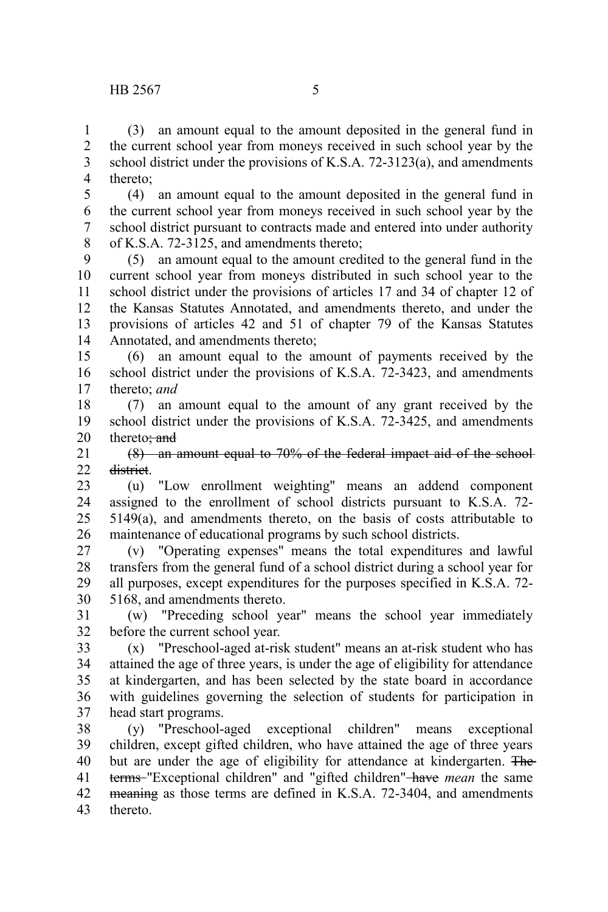(3) an amount equal to the amount deposited in the general fund in the current school year from moneys received in such school year by the school district under the provisions of K.S.A. 72-3123(a), and amendments thereto; 1 2 3 4

(4) an amount equal to the amount deposited in the general fund in the current school year from moneys received in such school year by the school district pursuant to contracts made and entered into under authority of K.S.A. 72-3125, and amendments thereto; 5 6 7 8

(5) an amount equal to the amount credited to the general fund in the current school year from moneys distributed in such school year to the school district under the provisions of articles 17 and 34 of chapter 12 of the Kansas Statutes Annotated, and amendments thereto, and under the provisions of articles 42 and 51 of chapter 79 of the Kansas Statutes Annotated, and amendments thereto; 9 10 11 12 13 14

(6) an amount equal to the amount of payments received by the school district under the provisions of K.S.A. 72-3423, and amendments thereto; *and* 15 16 17

(7) an amount equal to the amount of any grant received by the school district under the provisions of K.S.A. 72-3425, and amendments thereto: and 18 19 20

(8) an amount equal to 70% of the federal impact aid of the school district. 21 22

(u) "Low enrollment weighting" means an addend component assigned to the enrollment of school districts pursuant to K.S.A. 72- 5149(a), and amendments thereto, on the basis of costs attributable to maintenance of educational programs by such school districts. 23 24 25 26

(v) "Operating expenses" means the total expenditures and lawful transfers from the general fund of a school district during a school year for all purposes, except expenditures for the purposes specified in K.S.A. 72- 5168, and amendments thereto. 27 28 29 30

(w) "Preceding school year" means the school year immediately before the current school year. 31 32

(x) "Preschool-aged at-risk student" means an at-risk student who has attained the age of three years, is under the age of eligibility for attendance at kindergarten, and has been selected by the state board in accordance with guidelines governing the selection of students for participation in head start programs. 33 34 35 36 37

(y) "Preschool-aged exceptional children" means exceptional children, except gifted children, who have attained the age of three years but are under the age of eligibility for attendance at kindergarten. The terms "Exceptional children" and "gifted children" have *mean* the same meaning as those terms are defined in K.S.A. 72-3404, and amendments thereto. 38 39 40 41 42 43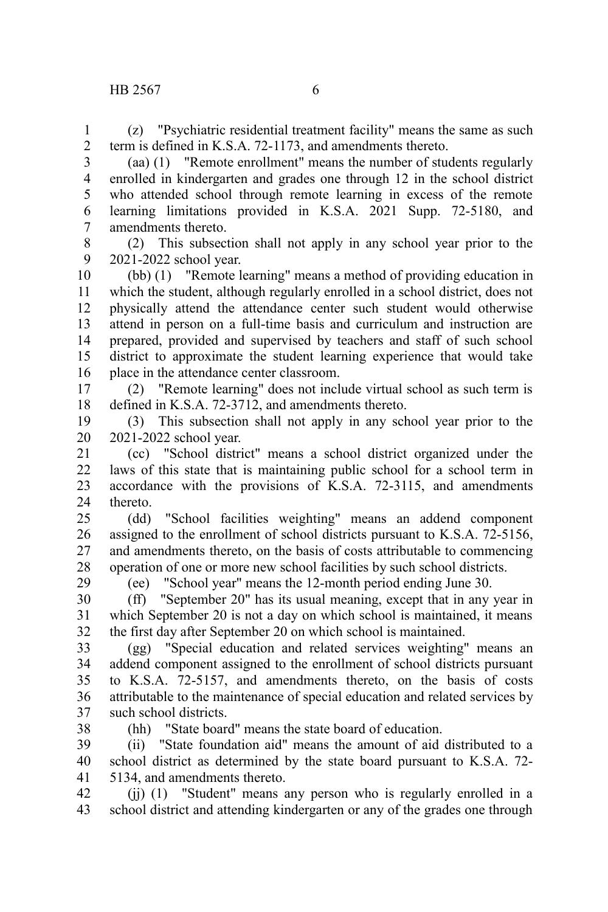(z) "Psychiatric residential treatment facility" means the same as such

1 2

term is defined in K.S.A. 72-1173, and amendments thereto. (aa) (1) "Remote enrollment" means the number of students regularly enrolled in kindergarten and grades one through 12 in the school district who attended school through remote learning in excess of the remote learning limitations provided in K.S.A. 2021 Supp. 72-5180, and amendments thereto. 3 4 5 6 7

8 9

(2) This subsection shall not apply in any school year prior to the 2021-2022 school year.

(bb) (1) "Remote learning" means a method of providing education in which the student, although regularly enrolled in a school district, does not physically attend the attendance center such student would otherwise attend in person on a full-time basis and curriculum and instruction are prepared, provided and supervised by teachers and staff of such school district to approximate the student learning experience that would take place in the attendance center classroom. 10 11 12 13 14 15 16

(2) "Remote learning" does not include virtual school as such term is defined in K.S.A. 72-3712, and amendments thereto. 17 18

(3) This subsection shall not apply in any school year prior to the 2021-2022 school year. 19 20

(cc) "School district" means a school district organized under the laws of this state that is maintaining public school for a school term in accordance with the provisions of K.S.A. 72-3115, and amendments thereto. 21 22 23 24

(dd) "School facilities weighting" means an addend component assigned to the enrollment of school districts pursuant to K.S.A. 72-5156, and amendments thereto, on the basis of costs attributable to commencing operation of one or more new school facilities by such school districts. 25 26 27 28

(ee) "School year" means the 12-month period ending June 30.

(ff) "September 20" has its usual meaning, except that in any year in which September 20 is not a day on which school is maintained, it means the first day after September 20 on which school is maintained. 30 31 32

(gg) "Special education and related services weighting" means an addend component assigned to the enrollment of school districts pursuant to K.S.A. 72-5157, and amendments thereto, on the basis of costs attributable to the maintenance of special education and related services by such school districts. 33 34 35 36 37

38

29

(hh) "State board" means the state board of education.

(ii) "State foundation aid" means the amount of aid distributed to a school district as determined by the state board pursuant to K.S.A. 72- 5134, and amendments thereto. 39 40 41

(jj) (1) "Student" means any person who is regularly enrolled in a school district and attending kindergarten or any of the grades one through 42 43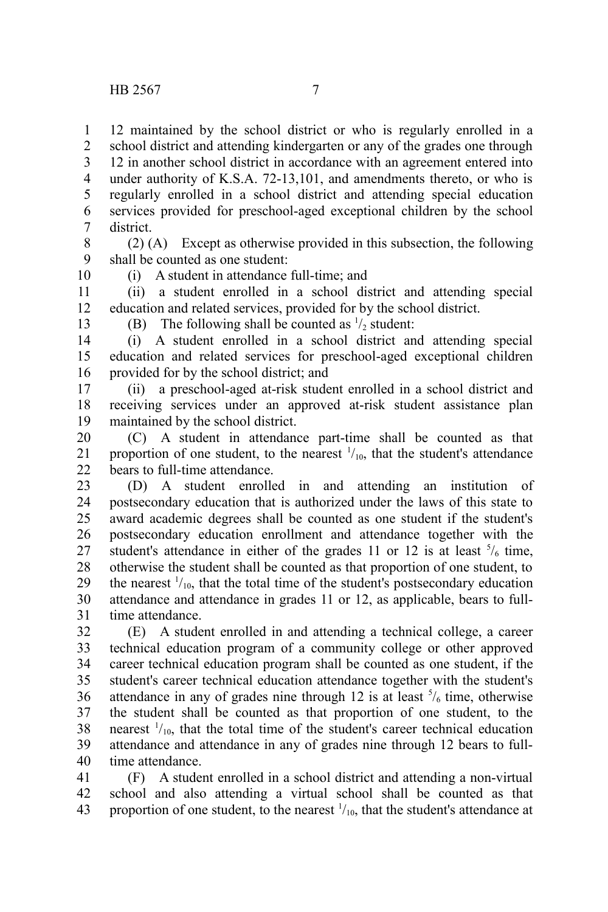12 maintained by the school district or who is regularly enrolled in a school district and attending kindergarten or any of the grades one through 12 in another school district in accordance with an agreement entered into under authority of K.S.A. 72-13,101, and amendments thereto, or who is regularly enrolled in a school district and attending special education services provided for preschool-aged exceptional children by the school district. 1 2 3 4 5 6 7

(2) (A) Except as otherwise provided in this subsection, the following shall be counted as one student: 8 9 10

(i) A student in attendance full-time; and

(ii) a student enrolled in a school district and attending special education and related services, provided for by the school district. 11 12

13

(B) The following shall be counted as  $\frac{1}{2}$  student:

(i) A student enrolled in a school district and attending special education and related services for preschool-aged exceptional children provided for by the school district; and 14 15 16

(ii) a preschool-aged at-risk student enrolled in a school district and receiving services under an approved at-risk student assistance plan maintained by the school district. 17 18 19

(C) A student in attendance part-time shall be counted as that proportion of one student, to the nearest  $\frac{1}{10}$ , that the student's attendance bears to full-time attendance. 20 21 22

(D) A student enrolled in and attending an institution of postsecondary education that is authorized under the laws of this state to award academic degrees shall be counted as one student if the student's postsecondary education enrollment and attendance together with the student's attendance in either of the grades 11 or 12 is at least  $\frac{5}{6}$  time, otherwise the student shall be counted as that proportion of one student, to the nearest  $\frac{1}{10}$ , that the total time of the student's postsecondary education attendance and attendance in grades 11 or 12, as applicable, bears to fulltime attendance. 23 24 25 26 27 28 29 30 31

(E) A student enrolled in and attending a technical college, a career technical education program of a community college or other approved career technical education program shall be counted as one student, if the student's career technical education attendance together with the student's attendance in any of grades nine through 12 is at least  $\frac{5}{6}$  time, otherwise the student shall be counted as that proportion of one student, to the nearest  $\frac{1}{10}$ , that the total time of the student's career technical education attendance and attendance in any of grades nine through 12 bears to fulltime attendance. 32 33 34 35 36 37 38 39 40

(F) A student enrolled in a school district and attending a non-virtual school and also attending a virtual school shall be counted as that proportion of one student, to the nearest  $\frac{1}{10}$ , that the student's attendance at 41 42 43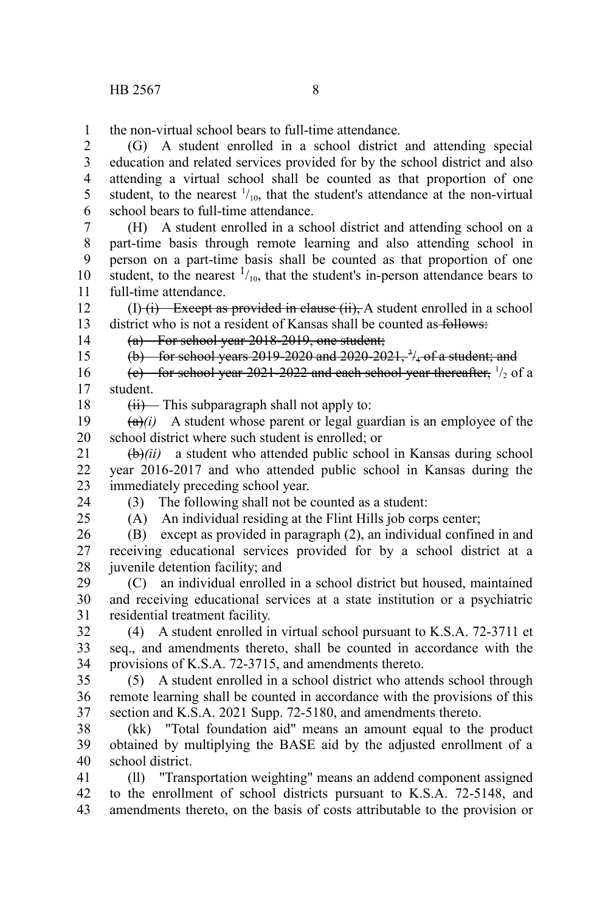the non-virtual school bears to full-time attendance. 1

(G) A student enrolled in a school district and attending special education and related services provided for by the school district and also attending a virtual school shall be counted as that proportion of one student, to the nearest  $\frac{1}{10}$ , that the student's attendance at the non-virtual school bears to full-time attendance. 2 3 4 5 6

(H) A student enrolled in a school district and attending school on a part-time basis through remote learning and also attending school in person on a part-time basis shall be counted as that proportion of one student, to the nearest  $\frac{1}{10}$ , that the student's in-person attendance bears to full-time attendance. 7 8 9 10 11

 $(I)$  (i) Except as provided in clause (ii), A student enrolled in a school district who is not a resident of Kansas shall be counted as follows: 12 13

14 15 (a) For school year 2018-2019, one student;

(b) for school years 2019-2020 and 2020-2021,  $\frac{3}{4}$  of a student; and

(e) for school year 2021-2022 and each school year thereafter,  $\frac{1}{2}$  of a student. 16 17

18

 $(ii)$  This subparagraph shall not apply to:

 $(a)(i)$  A student whose parent or legal guardian is an employee of the school district where such student is enrolled; or 19 20

(b)*(ii)* a student who attended public school in Kansas during school year 2016-2017 and who attended public school in Kansas during the immediately preceding school year. 21 22 23

(3) The following shall not be counted as a student:

24  $25$ 

(A) An individual residing at the Flint Hills job corps center;

(B) except as provided in paragraph (2), an individual confined in and receiving educational services provided for by a school district at a juvenile detention facility; and 26 27 28

(C) an individual enrolled in a school district but housed, maintained and receiving educational services at a state institution or a psychiatric residential treatment facility. 29 30 31

(4) A student enrolled in virtual school pursuant to K.S.A. 72-3711 et seq., and amendments thereto, shall be counted in accordance with the provisions of K.S.A. 72-3715, and amendments thereto. 32 33 34

(5) A student enrolled in a school district who attends school through remote learning shall be counted in accordance with the provisions of this section and K.S.A. 2021 Supp. 72-5180, and amendments thereto. 35 36 37

(kk) "Total foundation aid" means an amount equal to the product obtained by multiplying the BASE aid by the adjusted enrollment of a school district. 38 39 40

(ll) "Transportation weighting" means an addend component assigned to the enrollment of school districts pursuant to K.S.A. 72-5148, and amendments thereto, on the basis of costs attributable to the provision or 41 42 43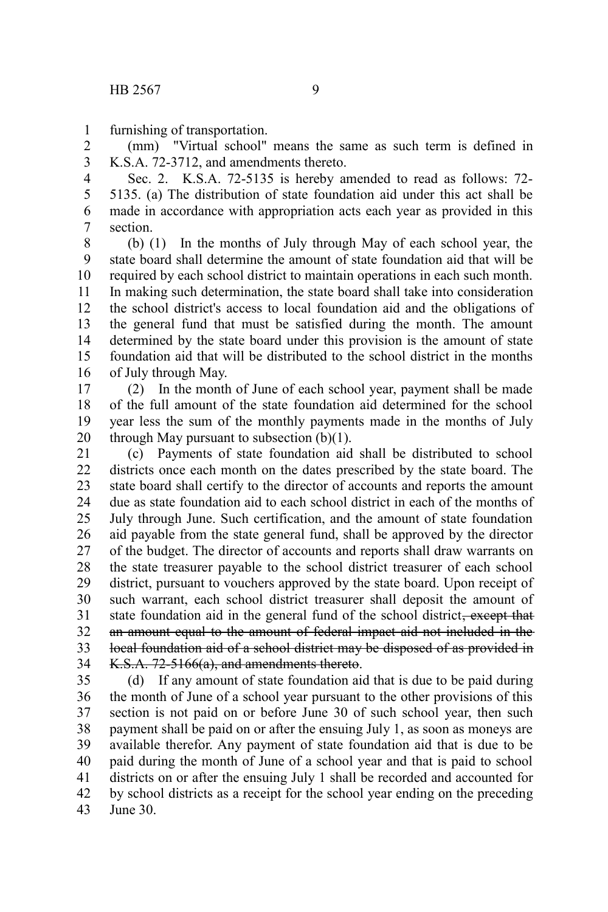furnishing of transportation. 1

(mm) "Virtual school" means the same as such term is defined in K.S.A. 72-3712, and amendments thereto. 2 3

Sec. 2. K.S.A. 72-5135 is hereby amended to read as follows: 72- 5135. (a) The distribution of state foundation aid under this act shall be made in accordance with appropriation acts each year as provided in this section. 4 5 6 7

(b) (1) In the months of July through May of each school year, the state board shall determine the amount of state foundation aid that will be required by each school district to maintain operations in each such month. In making such determination, the state board shall take into consideration the school district's access to local foundation aid and the obligations of the general fund that must be satisfied during the month. The amount determined by the state board under this provision is the amount of state foundation aid that will be distributed to the school district in the months of July through May. 8 9 10 11 12 13 14 15 16

(2) In the month of June of each school year, payment shall be made of the full amount of the state foundation aid determined for the school year less the sum of the monthly payments made in the months of July through May pursuant to subsection  $(b)(1)$ . 17 18 19 20

(c) Payments of state foundation aid shall be distributed to school districts once each month on the dates prescribed by the state board. The state board shall certify to the director of accounts and reports the amount due as state foundation aid to each school district in each of the months of July through June. Such certification, and the amount of state foundation aid payable from the state general fund, shall be approved by the director of the budget. The director of accounts and reports shall draw warrants on the state treasurer payable to the school district treasurer of each school district, pursuant to vouchers approved by the state board. Upon receipt of such warrant, each school district treasurer shall deposit the amount of state foundation aid in the general fund of the school district<del>, except that</del> an amount equal to the amount of federal impact aid not included in the local foundation aid of a school district may be disposed of as provided in K.S.A. 72-5166(a), and amendments thereto. 21 22 23 24 25 26 27 28 29 30 31 32 33 34

(d) If any amount of state foundation aid that is due to be paid during the month of June of a school year pursuant to the other provisions of this section is not paid on or before June 30 of such school year, then such payment shall be paid on or after the ensuing July 1, as soon as moneys are available therefor. Any payment of state foundation aid that is due to be paid during the month of June of a school year and that is paid to school districts on or after the ensuing July 1 shall be recorded and accounted for by school districts as a receipt for the school year ending on the preceding June 30. 35 36 37 38 39 40 41 42 43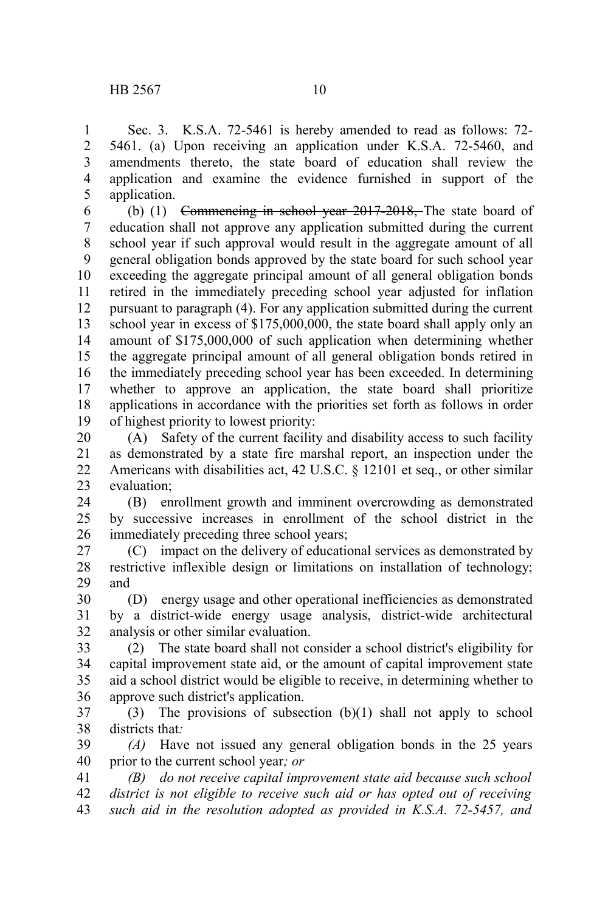Sec. 3. K.S.A. 72-5461 is hereby amended to read as follows: 72- 5461. (a) Upon receiving an application under K.S.A. 72-5460, and amendments thereto, the state board of education shall review the application and examine the evidence furnished in support of the application. 1 2 3 4 5

(b) (1) Commencing in school year 2017-2018, The state board of education shall not approve any application submitted during the current school year if such approval would result in the aggregate amount of all general obligation bonds approved by the state board for such school year exceeding the aggregate principal amount of all general obligation bonds retired in the immediately preceding school year adjusted for inflation pursuant to paragraph (4). For any application submitted during the current school year in excess of \$175,000,000, the state board shall apply only an amount of \$175,000,000 of such application when determining whether the aggregate principal amount of all general obligation bonds retired in the immediately preceding school year has been exceeded. In determining whether to approve an application, the state board shall prioritize applications in accordance with the priorities set forth as follows in order of highest priority to lowest priority: 6 7 8 9 10 11 12 13 14 15 16 17 18 19

(A) Safety of the current facility and disability access to such facility as demonstrated by a state fire marshal report, an inspection under the Americans with disabilities act, 42 U.S.C. § 12101 et seq., or other similar evaluation; 20 21 22 23

(B) enrollment growth and imminent overcrowding as demonstrated by successive increases in enrollment of the school district in the immediately preceding three school years; 24 25 26

(C) impact on the delivery of educational services as demonstrated by restrictive inflexible design or limitations on installation of technology; and 27 28 29

(D) energy usage and other operational inefficiencies as demonstrated by a district-wide energy usage analysis, district-wide architectural analysis or other similar evaluation. 30 31 32

(2) The state board shall not consider a school district's eligibility for capital improvement state aid, or the amount of capital improvement state aid a school district would be eligible to receive, in determining whether to approve such district's application. 33 34 35 36

(3) The provisions of subsection (b)(1) shall not apply to school districts that*:* 37 38

*(A)* Have not issued any general obligation bonds in the 25 years prior to the current school year*; or* 39 40

*(B) do not receive capital improvement state aid because such school district is not eligible to receive such aid or has opted out of receiving such aid in the resolution adopted as provided in K.S.A. 72-5457, and* 41 42 43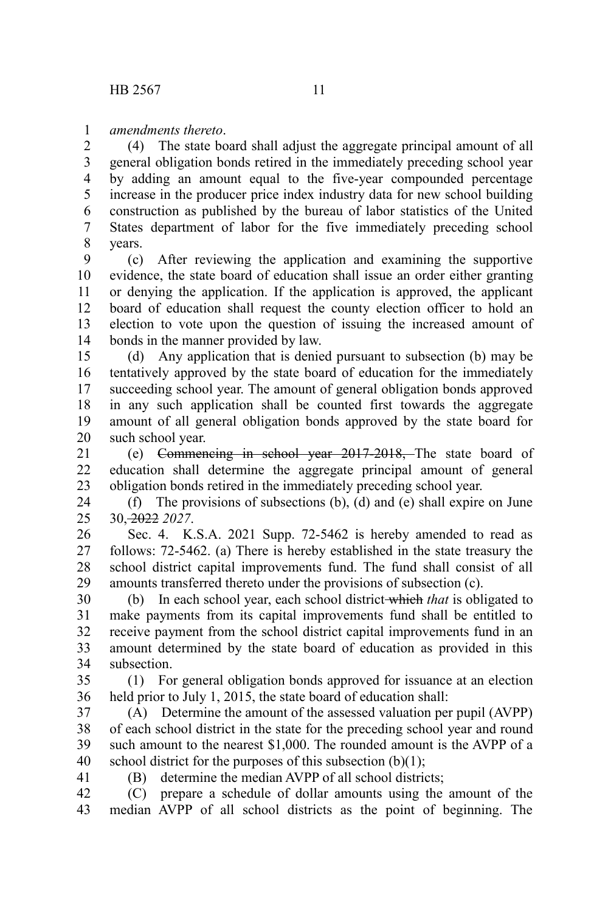## *amendments thereto*. 1

(4) The state board shall adjust the aggregate principal amount of all general obligation bonds retired in the immediately preceding school year by adding an amount equal to the five-year compounded percentage increase in the producer price index industry data for new school building construction as published by the bureau of labor statistics of the United States department of labor for the five immediately preceding school years. 2 3 4 5 6 7 8

(c) After reviewing the application and examining the supportive evidence, the state board of education shall issue an order either granting or denying the application. If the application is approved, the applicant board of education shall request the county election officer to hold an election to vote upon the question of issuing the increased amount of bonds in the manner provided by law. 9 10 11 12 13 14

(d) Any application that is denied pursuant to subsection (b) may be tentatively approved by the state board of education for the immediately succeeding school year. The amount of general obligation bonds approved in any such application shall be counted first towards the aggregate amount of all general obligation bonds approved by the state board for such school year. 15 16 17 18 19 20

(e) Commencing in school year 2017-2018, The state board of education shall determine the aggregate principal amount of general obligation bonds retired in the immediately preceding school year. 21 22 23

(f) The provisions of subsections (b), (d) and (e) shall expire on June 30, 2022 *2027*. 24 25

Sec. 4. K.S.A. 2021 Supp. 72-5462 is hereby amended to read as follows: 72-5462. (a) There is hereby established in the state treasury the school district capital improvements fund. The fund shall consist of all amounts transferred thereto under the provisions of subsection (c). 26 27 28 29

(b) In each school year, each school district which *that* is obligated to make payments from its capital improvements fund shall be entitled to receive payment from the school district capital improvements fund in an amount determined by the state board of education as provided in this subsection. 30 31 32 33 34

(1) For general obligation bonds approved for issuance at an election held prior to July 1, 2015, the state board of education shall: 35 36

(A) Determine the amount of the assessed valuation per pupil (AVPP) of each school district in the state for the preceding school year and round such amount to the nearest \$1,000. The rounded amount is the AVPP of a school district for the purposes of this subsection  $(b)(1)$ ; 37 38 39 40

(B) determine the median AVPP of all school districts;

41

(C) prepare a schedule of dollar amounts using the amount of the median AVPP of all school districts as the point of beginning. The 42 43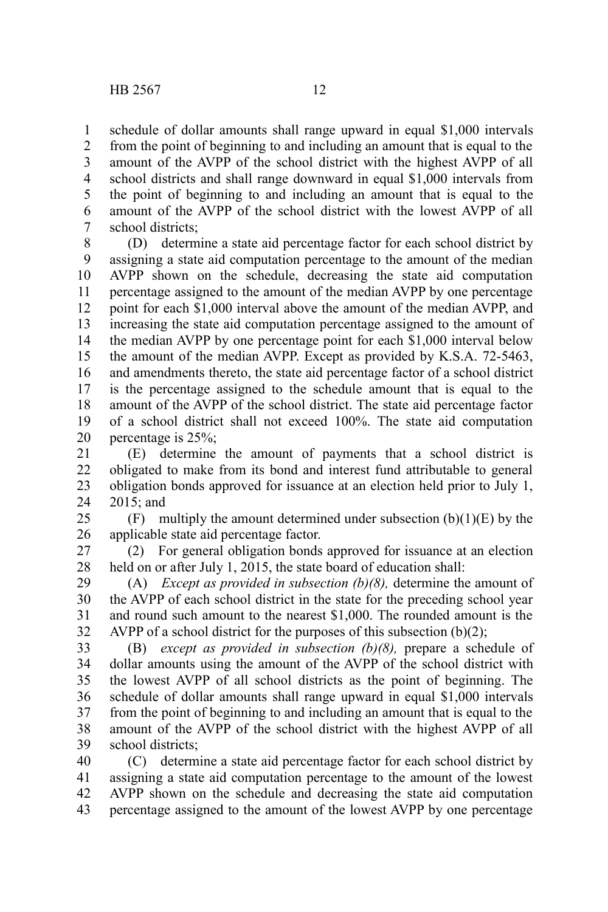1 2 3 schedule of dollar amounts shall range upward in equal \$1,000 intervals from the point of beginning to and including an amount that is equal to the amount of the AVPP of the school district with the highest AVPP of all school districts and shall range downward in equal \$1,000 intervals from

the point of beginning to and including an amount that is equal to the amount of the AVPP of the school district with the lowest AVPP of all school districts; 4 5 6 7

(D) determine a state aid percentage factor for each school district by assigning a state aid computation percentage to the amount of the median AVPP shown on the schedule, decreasing the state aid computation percentage assigned to the amount of the median AVPP by one percentage point for each \$1,000 interval above the amount of the median AVPP, and increasing the state aid computation percentage assigned to the amount of the median AVPP by one percentage point for each \$1,000 interval below the amount of the median AVPP. Except as provided by K.S.A. 72-5463, and amendments thereto, the state aid percentage factor of a school district is the percentage assigned to the schedule amount that is equal to the amount of the AVPP of the school district. The state aid percentage factor of a school district shall not exceed 100%. The state aid computation percentage is 25%; 8 9 10 11 12 13 14 15 16 17 18 19 20

(E) determine the amount of payments that a school district is obligated to make from its bond and interest fund attributable to general obligation bonds approved for issuance at an election held prior to July 1, 2015; and 21 22 23 24

 $(F)$  multiply the amount determined under subsection  $(b)(1)(E)$  by the applicable state aid percentage factor. 25 26

(2) For general obligation bonds approved for issuance at an election held on or after July 1, 2015, the state board of education shall: 27 28

(A) *Except as provided in subsection (b)(8),* determine the amount of the AVPP of each school district in the state for the preceding school year and round such amount to the nearest \$1,000. The rounded amount is the AVPP of a school district for the purposes of this subsection  $(b)(2)$ ; 29 30 31 32

(B) *except as provided in subsection (b)(8),* prepare a schedule of dollar amounts using the amount of the AVPP of the school district with the lowest AVPP of all school districts as the point of beginning. The schedule of dollar amounts shall range upward in equal \$1,000 intervals from the point of beginning to and including an amount that is equal to the amount of the AVPP of the school district with the highest AVPP of all school districts: 33 34 35 36 37 38 39

(C) determine a state aid percentage factor for each school district by assigning a state aid computation percentage to the amount of the lowest AVPP shown on the schedule and decreasing the state aid computation percentage assigned to the amount of the lowest AVPP by one percentage 40 41 42 43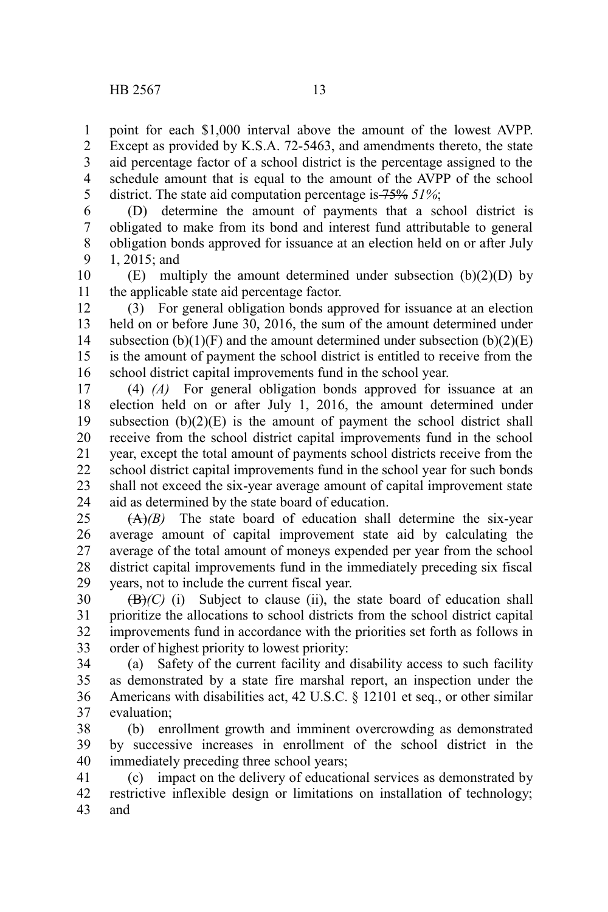point for each \$1,000 interval above the amount of the lowest AVPP. Except as provided by K.S.A. 72-5463, and amendments thereto, the state aid percentage factor of a school district is the percentage assigned to the schedule amount that is equal to the amount of the AVPP of the school district. The state aid computation percentage is 75% *51%*; 1 2 3 4 5

(D) determine the amount of payments that a school district is obligated to make from its bond and interest fund attributable to general obligation bonds approved for issuance at an election held on or after July 1, 2015; and 6 7 8 9

(E) multiply the amount determined under subsection  $(b)(2)(D)$  by the applicable state aid percentage factor. 10 11

(3) For general obligation bonds approved for issuance at an election held on or before June 30, 2016, the sum of the amount determined under subsection  $(b)(1)(F)$  and the amount determined under subsection  $(b)(2)(E)$ is the amount of payment the school district is entitled to receive from the school district capital improvements fund in the school year. 12 13 14 15 16

(4) *(A)* For general obligation bonds approved for issuance at an election held on or after July 1, 2016, the amount determined under subsection  $(b)(2)(E)$  is the amount of payment the school district shall receive from the school district capital improvements fund in the school year, except the total amount of payments school districts receive from the school district capital improvements fund in the school year for such bonds shall not exceed the six-year average amount of capital improvement state aid as determined by the state board of education. 17 18 19 20 21 22 23 24

(A)*(B)* The state board of education shall determine the six-year average amount of capital improvement state aid by calculating the average of the total amount of moneys expended per year from the school district capital improvements fund in the immediately preceding six fiscal years, not to include the current fiscal year. 25 26 27 28 29

 $(**B**)$ *(C)* (i) Subject to clause (ii), the state board of education shall prioritize the allocations to school districts from the school district capital improvements fund in accordance with the priorities set forth as follows in order of highest priority to lowest priority: 30 31 32 33

(a) Safety of the current facility and disability access to such facility as demonstrated by a state fire marshal report, an inspection under the Americans with disabilities act, 42 U.S.C. § 12101 et seq., or other similar evaluation; 34 35 36 37

(b) enrollment growth and imminent overcrowding as demonstrated by successive increases in enrollment of the school district in the immediately preceding three school years; 38 39 40

(c) impact on the delivery of educational services as demonstrated by restrictive inflexible design or limitations on installation of technology; and 41 42 43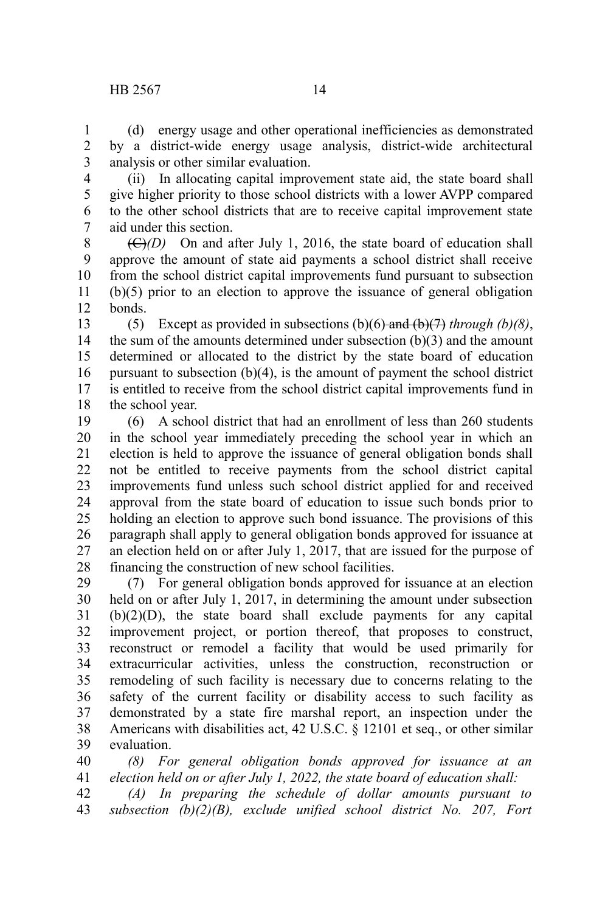## HB 2567 14

(d) energy usage and other operational inefficiencies as demonstrated by a district-wide energy usage analysis, district-wide architectural analysis or other similar evaluation. 1 2 3

(ii) In allocating capital improvement state aid, the state board shall give higher priority to those school districts with a lower AVPP compared to the other school districts that are to receive capital improvement state aid under this section. 4 5 6 7

 $(\bigoplus/D)$  On and after July 1, 2016, the state board of education shall approve the amount of state aid payments a school district shall receive from the school district capital improvements fund pursuant to subsection (b)(5) prior to an election to approve the issuance of general obligation bonds. 8 9 10 11 12

(5) Except as provided in subsections  $(b)(6)$  and  $(b)(7)$  *through (b)(8)*, the sum of the amounts determined under subsection (b)(3) and the amount determined or allocated to the district by the state board of education pursuant to subsection (b)(4), is the amount of payment the school district is entitled to receive from the school district capital improvements fund in the school year. 13 14 15 16 17 18

(6) A school district that had an enrollment of less than 260 students in the school year immediately preceding the school year in which an election is held to approve the issuance of general obligation bonds shall not be entitled to receive payments from the school district capital improvements fund unless such school district applied for and received approval from the state board of education to issue such bonds prior to holding an election to approve such bond issuance. The provisions of this paragraph shall apply to general obligation bonds approved for issuance at an election held on or after July 1, 2017, that are issued for the purpose of financing the construction of new school facilities. 19 20 21 22 23 24 25 26 27 28

(7) For general obligation bonds approved for issuance at an election held on or after July 1, 2017, in determining the amount under subsection (b)(2)(D), the state board shall exclude payments for any capital improvement project, or portion thereof, that proposes to construct, reconstruct or remodel a facility that would be used primarily for extracurricular activities, unless the construction, reconstruction or remodeling of such facility is necessary due to concerns relating to the safety of the current facility or disability access to such facility as demonstrated by a state fire marshal report, an inspection under the Americans with disabilities act, 42 U.S.C. § 12101 et seq., or other similar evaluation. 29 30 31 32 33 34 35 36 37 38 39

*(8) For general obligation bonds approved for issuance at an election held on or after July 1, 2022, the state board of education shall:* 40 41

*(A) In preparing the schedule of dollar amounts pursuant to subsection (b)(2)(B), exclude unified school district No. 207, Fort* 42 43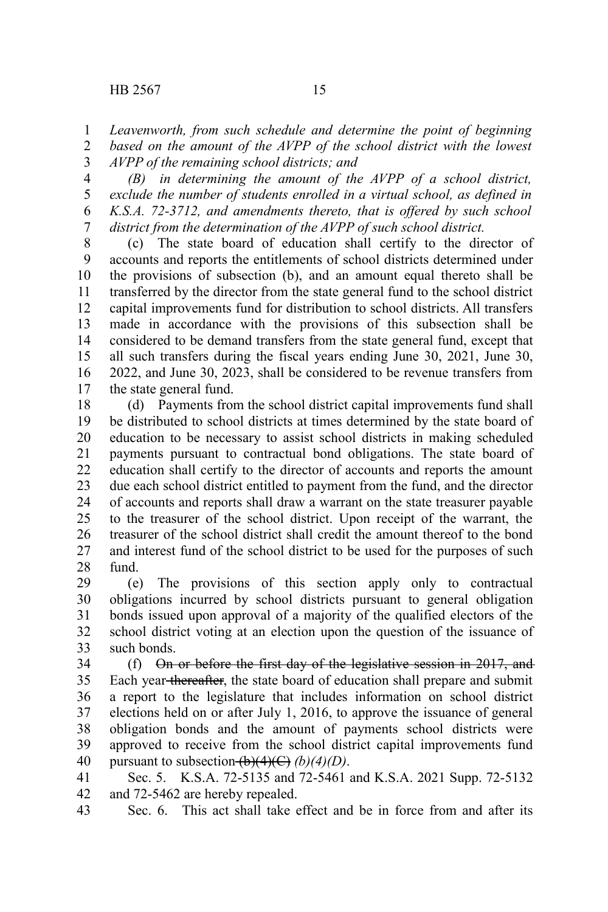*Leavenworth, from such schedule and determine the point of beginning based on the amount of the AVPP of the school district with the lowest* 1 2

*AVPP of the remaining school districts; and* 3

*(B) in determining the amount of the AVPP of a school district, exclude the number of students enrolled in a virtual school, as defined in K.S.A. 72-3712, and amendments thereto, that is offered by such school district from the determination of the AVPP of such school district.* 4 5 6 7

(c) The state board of education shall certify to the director of accounts and reports the entitlements of school districts determined under the provisions of subsection (b), and an amount equal thereto shall be transferred by the director from the state general fund to the school district capital improvements fund for distribution to school districts. All transfers made in accordance with the provisions of this subsection shall be considered to be demand transfers from the state general fund, except that all such transfers during the fiscal years ending June 30, 2021, June 30, 2022, and June 30, 2023, shall be considered to be revenue transfers from the state general fund. 8 9 10 11 12 13 14 15 16 17

(d) Payments from the school district capital improvements fund shall be distributed to school districts at times determined by the state board of education to be necessary to assist school districts in making scheduled payments pursuant to contractual bond obligations. The state board of education shall certify to the director of accounts and reports the amount due each school district entitled to payment from the fund, and the director of accounts and reports shall draw a warrant on the state treasurer payable to the treasurer of the school district. Upon receipt of the warrant, the treasurer of the school district shall credit the amount thereof to the bond and interest fund of the school district to be used for the purposes of such fund. 18 19 20 21 22 23 24 25 26 27 28

(e) The provisions of this section apply only to contractual obligations incurred by school districts pursuant to general obligation bonds issued upon approval of a majority of the qualified electors of the school district voting at an election upon the question of the issuance of such bonds. 29 30 31 32 33

(f) On or before the first day of the legislative session in 2017, and Each year thereafter, the state board of education shall prepare and submit a report to the legislature that includes information on school district elections held on or after July 1, 2016, to approve the issuance of general obligation bonds and the amount of payments school districts were approved to receive from the school district capital improvements fund pursuant to subsection  $\overline{(b)(4)(C)}$  *(b)(4)(D)*. 34 35 36 37 38 39 40

Sec. 5. K.S.A. 72-5135 and 72-5461 and K.S.A. 2021 Supp. 72-5132 and 72-5462 are hereby repealed. 41 42

Sec. 6. This act shall take effect and be in force from and after its 43